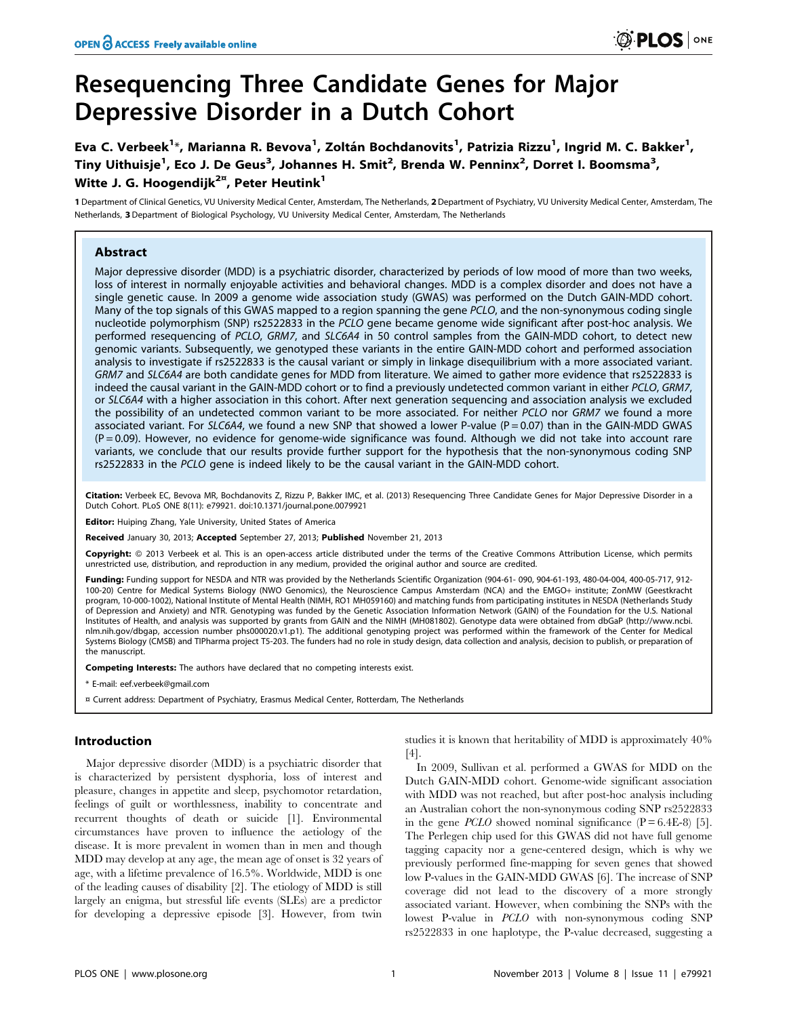# Resequencing Three Candidate Genes for Major Depressive Disorder in a Dutch Cohort

Eva C. Verbeek<sup>1</sup>\*, Marianna R. Bevova<sup>1</sup>, Zoltán Bochdanovits<sup>1</sup>, Patrizia Rizzu<sup>1</sup>, Ingrid M. C. Bakker<sup>1</sup>, Tiny Uithuisje<sup>1</sup>, Eco J. De Geus<sup>3</sup>, Johannes H. Smit<sup>2</sup>, Brenda W. Penninx<sup>2</sup>, Dorret I. Boomsma<sup>3</sup>, Witte J. G. Hoogendijk<sup>2 $x$ </sup>, Peter Heutink<sup>1</sup>

1 Department of Clinical Genetics, VU University Medical Center, Amsterdam, The Netherlands, 2 Department of Psychiatry, VU University Medical Center, Amsterdam, The Netherlands, 3 Department of Biological Psychology, VU University Medical Center, Amsterdam, The Netherlands

# **Abstract**

Major depressive disorder (MDD) is a psychiatric disorder, characterized by periods of low mood of more than two weeks, loss of interest in normally enjoyable activities and behavioral changes. MDD is a complex disorder and does not have a single genetic cause. In 2009 a genome wide association study (GWAS) was performed on the Dutch GAIN-MDD cohort. Many of the top signals of this GWAS mapped to a region spanning the gene PCLO, and the non-synonymous coding single nucleotide polymorphism (SNP) rs2522833 in the PCLO gene became genome wide significant after post-hoc analysis. We performed resequencing of PCLO, GRM7, and SLC6A4 in 50 control samples from the GAIN-MDD cohort, to detect new genomic variants. Subsequently, we genotyped these variants in the entire GAIN-MDD cohort and performed association analysis to investigate if rs2522833 is the causal variant or simply in linkage disequilibrium with a more associated variant. GRM7 and SLC6A4 are both candidate genes for MDD from literature. We aimed to gather more evidence that rs2522833 is indeed the causal variant in the GAIN-MDD cohort or to find a previously undetected common variant in either PCLO, GRM7, or SLC6A4 with a higher association in this cohort. After next generation sequencing and association analysis we excluded the possibility of an undetected common variant to be more associated. For neither PCLO nor GRM7 we found a more associated variant. For SLC6A4, we found a new SNP that showed a lower P-value (P = 0.07) than in the GAIN-MDD GWAS  $(P = 0.09)$ . However, no evidence for genome-wide significance was found. Although we did not take into account rare variants, we conclude that our results provide further support for the hypothesis that the non-synonymous coding SNP rs2522833 in the PCLO gene is indeed likely to be the causal variant in the GAIN-MDD cohort.

Citation: Verbeek EC, Bevova MR, Bochdanovits Z, Rizzu P, Bakker IMC, et al. (2013) Resequencing Three Candidate Genes for Major Depressive Disorder in a Dutch Cohort. PLoS ONE 8(11): e79921. doi:10.1371/journal.pone.0079921

**Editor:** Huiping Zhang, Yale University, United States of America

Received January 30, 2013; Accepted September 27, 2013; Published November 21, 2013

Copyright: @ 2013 Verbeek et al. This is an open-access article distributed under the terms of the Creative Commons Attribution License, which permits unrestricted use, distribution, and reproduction in any medium, provided the original author and source are credited.

Funding: Funding support for NESDA and NTR was provided by the Netherlands Scientific Organization (904-61-090, 904-61-193, 480-04-004, 400-05-717, 912-100-20) Centre for Medical Systems Biology (NWO Genomics), the Neuroscience Campus Amsterdam (NCA) and the EMGO+ institute; ZonMW (Geestkracht<br>program, 10-000-1002), National Institute of Mental Health (NIMH, RO1 MH059160) of Depression and Anxiety) and NTR. Genotyping was funded by the Genetic Association Information Network (GAIN) of the Foundation for the U.S. National Institutes of Health, and analysis was supported by grants from GAIN and the NIMH (MH081802). Genotype data were obtained from dbGaP (http://www.ncbi. nlm.nih.gov/dbgap, accession number phs000020.v1.p1). The additional genotyping project was performed within the framework of the Center for Medical Systems Biology (CMSB) and TIPharma project T5-203. The funders had no role in study design, data collection and analysis, decision to publish, or preparation of the manuscript.

Competing Interests: The authors have declared that no competing interests exist.

\* E-mail: eef.verbeek@gmail.com

¤ Current address: Department of Psychiatry, Erasmus Medical Center, Rotterdam, The Netherlands

# Introduction

Major depressive disorder (MDD) is a psychiatric disorder that is characterized by persistent dysphoria, loss of interest and pleasure, changes in appetite and sleep, psychomotor retardation, feelings of guilt or worthlessness, inability to concentrate and recurrent thoughts of death or suicide [1]. Environmental circumstances have proven to influence the aetiology of the disease. It is more prevalent in women than in men and though MDD may develop at any age, the mean age of onset is 32 years of age, with a lifetime prevalence of 16.5%. Worldwide, MDD is one of the leading causes of disability [2]. The etiology of MDD is still largely an enigma, but stressful life events (SLEs) are a predictor for developing a depressive episode [3]. However, from twin studies it is known that heritability of MDD is approximately 40% [4].

In 2009, Sullivan et al. performed a GWAS for MDD on the Dutch GAIN-MDD cohort. Genome-wide significant association with MDD was not reached, but after post-hoc analysis including an Australian cohort the non-synonymous coding SNP rs2522833 in the gene *PCLO* showed nominal significance  $(P = 6.4E-8)$  [5]. The Perlegen chip used for this GWAS did not have full genome tagging capacity nor a gene-centered design, which is why we previously performed fine-mapping for seven genes that showed low P-values in the GAIN-MDD GWAS [6]. The increase of SNP coverage did not lead to the discovery of a more strongly associated variant. However, when combining the SNPs with the lowest P-value in PCLO with non-synonymous coding SNP rs2522833 in one haplotype, the P-value decreased, suggesting a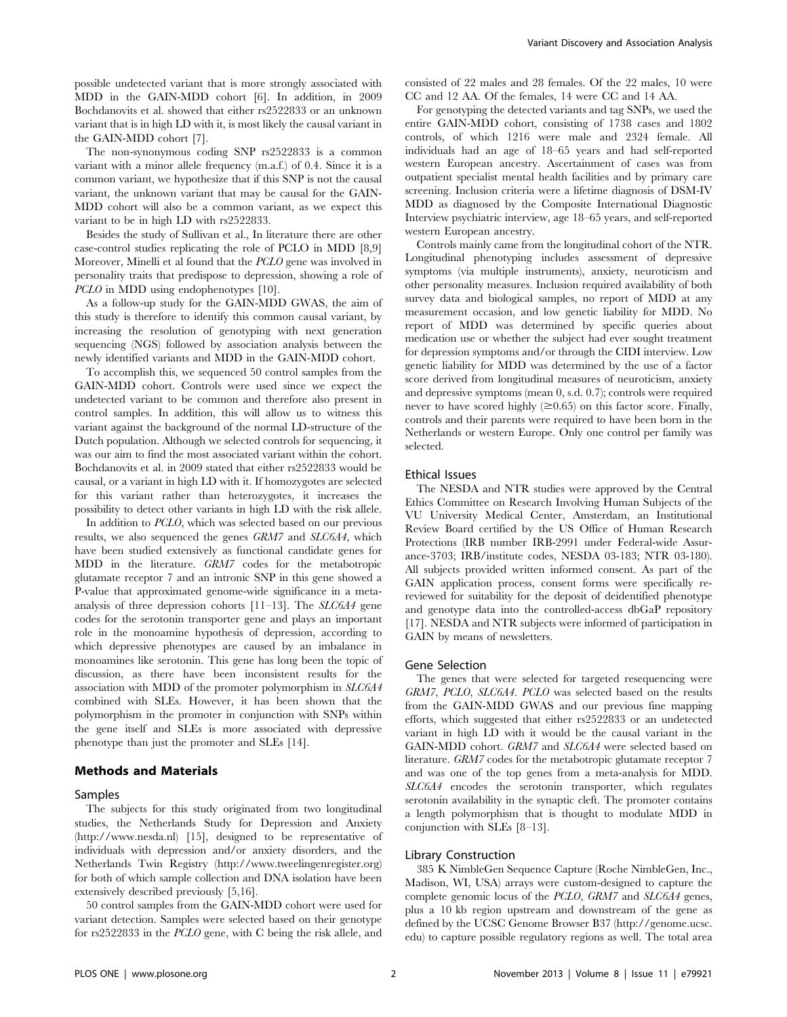possible undetected variant that is more strongly associated with MDD in the GAIN-MDD cohort [6]. In addition, in 2009 Bochdanovits et al. showed that either rs2522833 or an unknown variant that is in high LD with it, is most likely the causal variant in the GAIN-MDD cohort [7].

The non-synonymous coding SNP rs2522833 is a common variant with a minor allele frequency (m.a.f.) of 0.4. Since it is a common variant, we hypothesize that if this SNP is not the causal variant, the unknown variant that may be causal for the GAIN-MDD cohort will also be a common variant, as we expect this variant to be in high LD with rs2522833.

Besides the study of Sullivan et al., In literature there are other case-control studies replicating the role of PCLO in MDD [8,9] Moreover, Minelli et al found that the PCLO gene was involved in personality traits that predispose to depression, showing a role of PCLO in MDD using endophenotypes [10].

As a follow-up study for the GAIN-MDD GWAS, the aim of this study is therefore to identify this common causal variant, by increasing the resolution of genotyping with next generation sequencing (NGS) followed by association analysis between the newly identified variants and MDD in the GAIN-MDD cohort.

To accomplish this, we sequenced 50 control samples from the GAIN-MDD cohort. Controls were used since we expect the undetected variant to be common and therefore also present in control samples. In addition, this will allow us to witness this variant against the background of the normal LD-structure of the Dutch population. Although we selected controls for sequencing, it was our aim to find the most associated variant within the cohort. Bochdanovits et al. in 2009 stated that either rs2522833 would be causal, or a variant in high LD with it. If homozygotes are selected for this variant rather than heterozygotes, it increases the possibility to detect other variants in high LD with the risk allele.

In addition to PCLO, which was selected based on our previous results, we also sequenced the genes GRM7 and SLC6A4, which have been studied extensively as functional candidate genes for MDD in the literature. GRM7 codes for the metabotropic glutamate receptor 7 and an intronic SNP in this gene showed a P-value that approximated genome-wide significance in a metaanalysis of three depression cohorts [11–13]. The SLC6A4 gene codes for the serotonin transporter gene and plays an important role in the monoamine hypothesis of depression, according to which depressive phenotypes are caused by an imbalance in monoamines like serotonin. This gene has long been the topic of discussion, as there have been inconsistent results for the association with MDD of the promoter polymorphism in SLC6A4 combined with SLEs. However, it has been shown that the polymorphism in the promoter in conjunction with SNPs within the gene itself and SLEs is more associated with depressive phenotype than just the promoter and SLEs [14].

# Methods and Materials

#### Samples

The subjects for this study originated from two longitudinal studies, the Netherlands Study for Depression and Anxiety (http://www.nesda.nl) [15], designed to be representative of individuals with depression and/or anxiety disorders, and the Netherlands Twin Registry (http://www.tweelingenregister.org) for both of which sample collection and DNA isolation have been extensively described previously [5,16].

50 control samples from the GAIN-MDD cohort were used for variant detection. Samples were selected based on their genotype for rs2522833 in the PCLO gene, with C being the risk allele, and consisted of 22 males and 28 females. Of the 22 males, 10 were CC and 12 AA. Of the females, 14 were CC and 14 AA.

For genotyping the detected variants and tag SNPs, we used the entire GAIN-MDD cohort, consisting of 1738 cases and 1802 controls, of which 1216 were male and 2324 female. All individuals had an age of 18–65 years and had self-reported western European ancestry. Ascertainment of cases was from outpatient specialist mental health facilities and by primary care screening. Inclusion criteria were a lifetime diagnosis of DSM-IV MDD as diagnosed by the Composite International Diagnostic Interview psychiatric interview, age 18–65 years, and self-reported western European ancestry.

Controls mainly came from the longitudinal cohort of the NTR. Longitudinal phenotyping includes assessment of depressive symptoms (via multiple instruments), anxiety, neuroticism and other personality measures. Inclusion required availability of both survey data and biological samples, no report of MDD at any measurement occasion, and low genetic liability for MDD. No report of MDD was determined by specific queries about medication use or whether the subject had ever sought treatment for depression symptoms and/or through the CIDI interview. Low genetic liability for MDD was determined by the use of a factor score derived from longitudinal measures of neuroticism, anxiety and depressive symptoms (mean 0, s.d. 0.7); controls were required never to have scored highly  $(\geq 0.65)$  on this factor score. Finally, controls and their parents were required to have been born in the Netherlands or western Europe. Only one control per family was selected.

## Ethical Issues

The NESDA and NTR studies were approved by the Central Ethics Committee on Research Involving Human Subjects of the VU University Medical Center, Amsterdam, an Institutional Review Board certified by the US Office of Human Research Protections (IRB number IRB-2991 under Federal-wide Assurance-3703; IRB/institute codes, NESDA 03-183; NTR 03-180). All subjects provided written informed consent. As part of the GAIN application process, consent forms were specifically rereviewed for suitability for the deposit of deidentified phenotype and genotype data into the controlled-access dbGaP repository [17]. NESDA and NTR subjects were informed of participation in GAIN by means of newsletters.

## Gene Selection

The genes that were selected for targeted resequencing were GRM7, PCLO, SLC6A4. PCLO was selected based on the results from the GAIN-MDD GWAS and our previous fine mapping efforts, which suggested that either rs2522833 or an undetected variant in high LD with it would be the causal variant in the GAIN-MDD cohort. GRM7 and SLC6A4 were selected based on literature. GRM7 codes for the metabotropic glutamate receptor 7 and was one of the top genes from a meta-analysis for MDD. SLC6A4 encodes the serotonin transporter, which regulates serotonin availability in the synaptic cleft. The promoter contains a length polymorphism that is thought to modulate MDD in conjunction with SLEs [8–13].

## Library Construction

385 K NimbleGen Sequence Capture (Roche NimbleGen, Inc., Madison, WI, USA) arrays were custom-designed to capture the complete genomic locus of the PCLO, GRM7 and SLC6A4 genes, plus a 10 kb region upstream and downstream of the gene as defined by the UCSC Genome Browser B37 (http://genome.ucsc. edu) to capture possible regulatory regions as well. The total area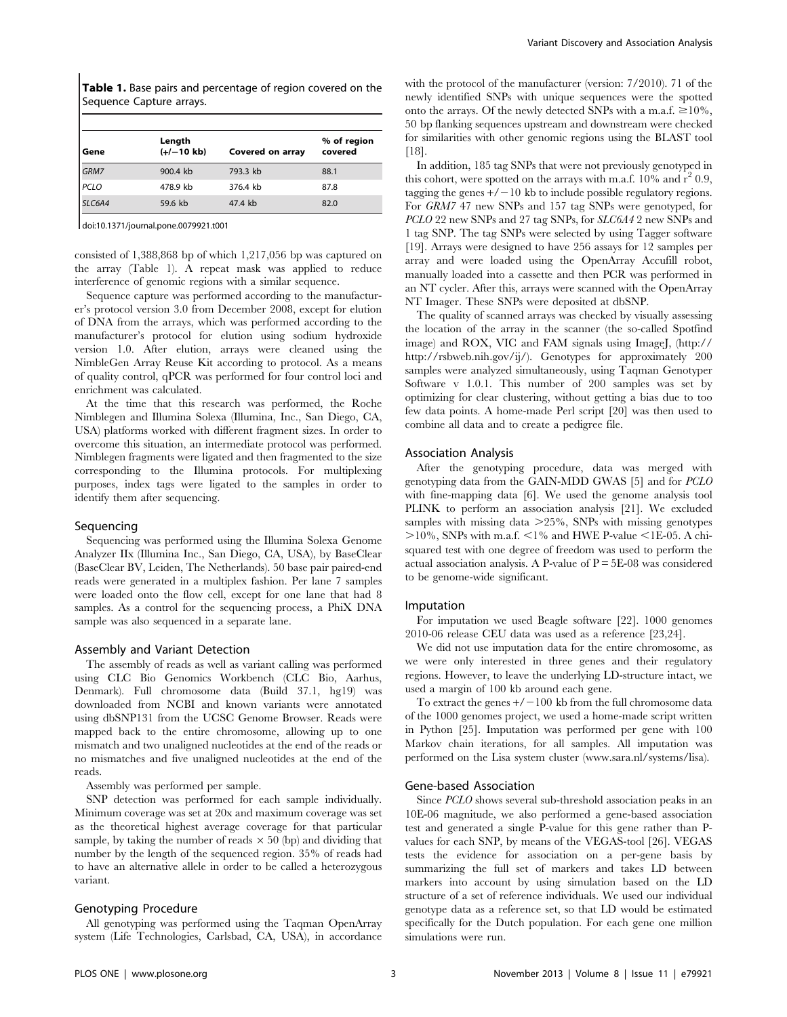Table 1. Base pairs and percentage of region covered on the Sequence Capture arrays.

| Gene   | Length<br>$(+/-10$ kb) | Covered on array | % of region<br>covered |
|--------|------------------------|------------------|------------------------|
| GRM7   | 900.4 kb               | 793.3 kb         | 88.1                   |
| PCLO   | 478.9 kb               | 376.4 kb         | 87.8                   |
| SLC6A4 | 59.6 kb                | 47.4 kb          | 82.0                   |

doi:10.1371/journal.pone.0079921.t001

consisted of 1,388,868 bp of which 1,217,056 bp was captured on the array (Table 1). A repeat mask was applied to reduce interference of genomic regions with a similar sequence.

Sequence capture was performed according to the manufacturer's protocol version 3.0 from December 2008, except for elution of DNA from the arrays, which was performed according to the manufacturer's protocol for elution using sodium hydroxide version 1.0. After elution, arrays were cleaned using the NimbleGen Array Reuse Kit according to protocol. As a means of quality control, qPCR was performed for four control loci and enrichment was calculated.

At the time that this research was performed, the Roche Nimblegen and Illumina Solexa (Illumina, Inc., San Diego, CA, USA) platforms worked with different fragment sizes. In order to overcome this situation, an intermediate protocol was performed. Nimblegen fragments were ligated and then fragmented to the size corresponding to the Illumina protocols. For multiplexing purposes, index tags were ligated to the samples in order to identify them after sequencing.

# Sequencing

Sequencing was performed using the Illumina Solexa Genome Analyzer IIx (Illumina Inc., San Diego, CA, USA), by BaseClear (BaseClear BV, Leiden, The Netherlands). 50 base pair paired-end reads were generated in a multiplex fashion. Per lane 7 samples were loaded onto the flow cell, except for one lane that had 8 samples. As a control for the sequencing process, a PhiX DNA sample was also sequenced in a separate lane.

#### Assembly and Variant Detection

The assembly of reads as well as variant calling was performed using CLC Bio Genomics Workbench (CLC Bio, Aarhus, Denmark). Full chromosome data (Build 37.1, hg19) was downloaded from NCBI and known variants were annotated using dbSNP131 from the UCSC Genome Browser. Reads were mapped back to the entire chromosome, allowing up to one mismatch and two unaligned nucleotides at the end of the reads or no mismatches and five unaligned nucleotides at the end of the reads.

Assembly was performed per sample.

SNP detection was performed for each sample individually. Minimum coverage was set at 20x and maximum coverage was set as the theoretical highest average coverage for that particular sample, by taking the number of reads  $\times$  50 (bp) and dividing that number by the length of the sequenced region. 35% of reads had to have an alternative allele in order to be called a heterozygous variant.

#### Genotyping Procedure

All genotyping was performed using the Taqman OpenArray system (Life Technologies, Carlsbad, CA, USA), in accordance with the protocol of the manufacturer (version: 7/2010). 71 of the newly identified SNPs with unique sequences were the spotted onto the arrays. Of the newly detected SNPs with a m.a.f.  $\geq 10\%$ , 50 bp flanking sequences upstream and downstream were checked for similarities with other genomic regions using the BLAST tool [18].

In addition, 185 tag SNPs that were not previously genotyped in this cohort, were spotted on the arrays with m.a.f.  $10\%$  and  $r^2$  0.9, tagging the genes  $+/-10$  kb to include possible regulatory regions. For GRM7 47 new SNPs and 157 tag SNPs were genotyped, for PCLO 22 new SNPs and 27 tag SNPs, for SLC6A4 2 new SNPs and 1 tag SNP. The tag SNPs were selected by using Tagger software [19]. Arrays were designed to have 256 assays for 12 samples per array and were loaded using the OpenArray Accufill robot, manually loaded into a cassette and then PCR was performed in an NT cycler. After this, arrays were scanned with the OpenArray NT Imager. These SNPs were deposited at dbSNP.

The quality of scanned arrays was checked by visually assessing the location of the array in the scanner (the so-called Spotfind image) and ROX, VIC and FAM signals using ImageJ, (http:// http://rsbweb.nih.gov/ij/). Genotypes for approximately 200 samples were analyzed simultaneously, using Taqman Genotyper Software v 1.0.1. This number of 200 samples was set by optimizing for clear clustering, without getting a bias due to too few data points. A home-made Perl script [20] was then used to combine all data and to create a pedigree file.

## Association Analysis

After the genotyping procedure, data was merged with genotyping data from the GAIN-MDD GWAS [5] and for PCLO with fine-mapping data [6]. We used the genome analysis tool PLINK to perform an association analysis [21]. We excluded samples with missing data  $\geq$  25%, SNPs with missing genotypes  $>10\%$ , SNPs with m.a.f. <1% and HWE P-value <1E-05. A chisquared test with one degree of freedom was used to perform the actual association analysis. A P-value of  $P = 5E-08$  was considered to be genome-wide significant.

#### Imputation

For imputation we used Beagle software [22]. 1000 genomes 2010-06 release CEU data was used as a reference [23,24].

We did not use imputation data for the entire chromosome, as we were only interested in three genes and their regulatory regions. However, to leave the underlying LD-structure intact, we used a margin of 100 kb around each gene.

To extract the genes  $+/-100$  kb from the full chromosome data of the 1000 genomes project, we used a home-made script written in Python [25]. Imputation was performed per gene with 100 Markov chain iterations, for all samples. All imputation was performed on the Lisa system cluster (www.sara.nl/systems/lisa).

### Gene-based Association

Since PCLO shows several sub-threshold association peaks in an 10E-06 magnitude, we also performed a gene-based association test and generated a single P-value for this gene rather than Pvalues for each SNP, by means of the VEGAS-tool [26]. VEGAS tests the evidence for association on a per-gene basis by summarizing the full set of markers and takes LD between markers into account by using simulation based on the LD structure of a set of reference individuals. We used our individual genotype data as a reference set, so that LD would be estimated specifically for the Dutch population. For each gene one million simulations were run.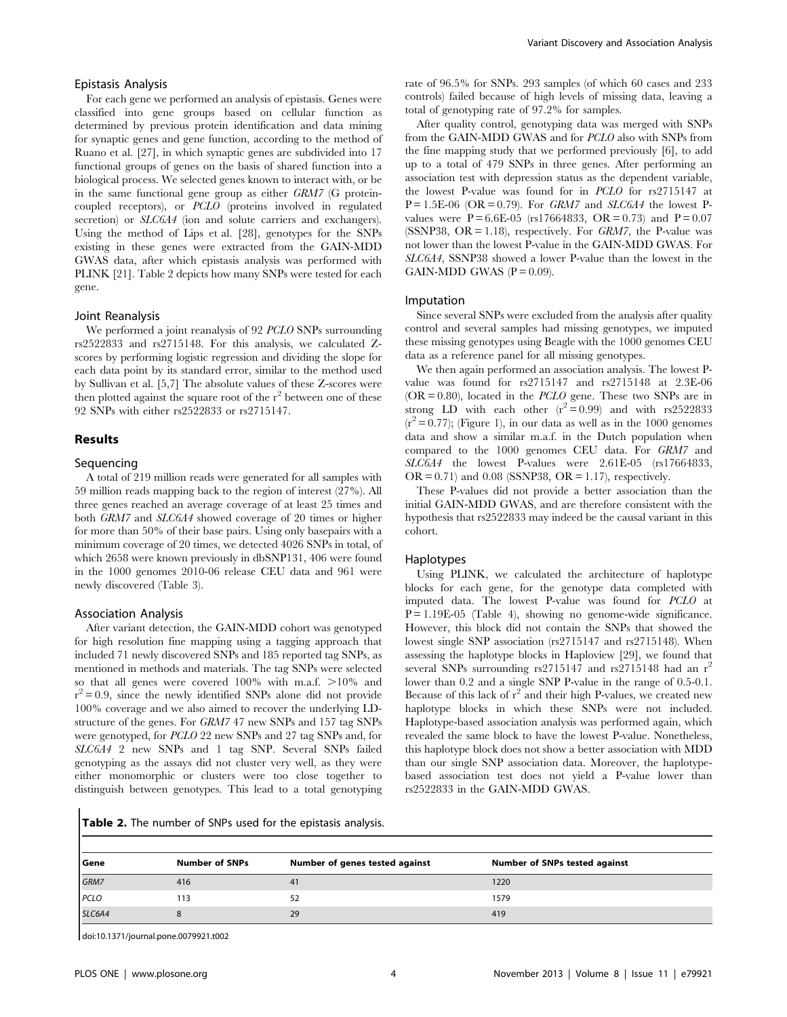#### Epistasis Analysis

For each gene we performed an analysis of epistasis. Genes were classified into gene groups based on cellular function as determined by previous protein identification and data mining for synaptic genes and gene function, according to the method of Ruano et al. [27], in which synaptic genes are subdivided into 17 functional groups of genes on the basis of shared function into a biological process. We selected genes known to interact with, or be in the same functional gene group as either GRM7 (G proteincoupled receptors), or PCLO (proteins involved in regulated secretion) or *SLC6A4* (ion and solute carriers and exchangers). Using the method of Lips et al. [28], genotypes for the SNPs existing in these genes were extracted from the GAIN-MDD GWAS data, after which epistasis analysis was performed with PLINK [21]. Table 2 depicts how many SNPs were tested for each gene.

## Joint Reanalysis

We performed a joint reanalysis of 92 *PCLO* SNPs surrounding rs2522833 and rs2715148. For this analysis, we calculated Zscores by performing logistic regression and dividing the slope for each data point by its standard error, similar to the method used by Sullivan et al. [5,7] The absolute values of these Z-scores were then plotted against the square root of the  $r^2$  between one of these 92 SNPs with either rs2522833 or rs2715147.

#### Results

#### Sequencing

A total of 219 million reads were generated for all samples with 59 million reads mapping back to the region of interest (27%). All three genes reached an average coverage of at least 25 times and both GRM7 and SLC6A4 showed coverage of 20 times or higher for more than 50% of their base pairs. Using only basepairs with a minimum coverage of 20 times, we detected 4026 SNPs in total, of which 2658 were known previously in dbSNP131, 406 were found in the 1000 genomes 2010-06 release CEU data and 961 were newly discovered (Table 3).

#### Association Analysis

After variant detection, the GAIN-MDD cohort was genotyped for high resolution fine mapping using a tagging approach that included 71 newly discovered SNPs and 185 reported tag SNPs, as mentioned in methods and materials. The tag SNPs were selected so that all genes were covered  $100\%$  with m.a.f.  $>10\%$  and  $r^2 = 0.9$ , since the newly identified SNPs alone did not provide 100% coverage and we also aimed to recover the underlying LDstructure of the genes. For GRM7 47 new SNPs and 157 tag SNPs were genotyped, for PCLO 22 new SNPs and 27 tag SNPs and, for SLC6A4 2 new SNPs and 1 tag SNP. Several SNPs failed genotyping as the assays did not cluster very well, as they were either monomorphic or clusters were too close together to distinguish between genotypes. This lead to a total genotyping rate of 96.5% for SNPs. 293 samples (of which 60 cases and 233 controls) failed because of high levels of missing data, leaving a total of genotyping rate of 97.2% for samples.

After quality control, genotyping data was merged with SNPs from the GAIN-MDD GWAS and for PCLO also with SNPs from the fine mapping study that we performed previously [6], to add up to a total of 479 SNPs in three genes. After performing an association test with depression status as the dependent variable, the lowest P-value was found for in PCLO for rs2715147 at  $P = 1.5E-06$  (OR = 0.79). For GRM7 and SLC6A4 the lowest Pvalues were  $P = 6.6E-05$  (rs17664833, OR = 0.73) and  $P = 0.07$ (SSNP38,  $OR = 1.18$ ), respectively. For  $GRM7$ , the P-value was not lower than the lowest P-value in the GAIN-MDD GWAS. For SLC6A4, SSNP38 showed a lower P-value than the lowest in the GAIN-MDD GWAS  $(P = 0.09)$ .

## Imputation

Since several SNPs were excluded from the analysis after quality control and several samples had missing genotypes, we imputed these missing genotypes using Beagle with the 1000 genomes CEU data as a reference panel for all missing genotypes.

We then again performed an association analysis. The lowest Pvalue was found for rs2715147 and rs2715148 at 2.3E-06  $(OR = 0.80)$ , located in the *PCLO* gene. These two SNPs are in strong LD with each other  $(r^2 = 0.99)$  and with rs2522833  $(r^2 = 0.77)$ ; (Figure 1), in our data as well as in the 1000 genomes data and show a similar m.a.f. in the Dutch population when compared to the 1000 genomes CEU data. For GRM7 and SLC6A4 the lowest P-values were 2.61E-05 (rs17664833,  $OR = 0.71$  and 0.08 (SSNP38,  $OR = 1.17$ ), respectively.

These P-values did not provide a better association than the initial GAIN-MDD GWAS, and are therefore consistent with the hypothesis that rs2522833 may indeed be the causal variant in this cohort.

## Haplotypes

Using PLINK, we calculated the architecture of haplotype blocks for each gene, for the genotype data completed with imputed data. The lowest P-value was found for PCLO at  $P = 1.19E-05$  (Table 4), showing no genome-wide significance. However, this block did not contain the SNPs that showed the lowest single SNP association (rs2715147 and rs2715148). When assessing the haplotype blocks in Haploview [29], we found that several SNPs surrounding  $rs2715147$  and  $rs2715148$  had an  $r^2$ lower than 0.2 and a single SNP P-value in the range of 0.5-0.1. Because of this lack of  $r^2$  and their high P-values, we created new haplotype blocks in which these SNPs were not included. Haplotype-based association analysis was performed again, which revealed the same block to have the lowest P-value. Nonetheless, this haplotype block does not show a better association with MDD than our single SNP association data. Moreover, the haplotypebased association test does not yield a P-value lower than rs2522833 in the GAIN-MDD GWAS.

Table 2. The number of SNPs used for the epistasis analysis.

| Gene   | <b>Number of SNPs</b> | Number of genes tested against | <b>Number of SNPs tested against</b> |
|--------|-----------------------|--------------------------------|--------------------------------------|
| GRM7   | 416                   | 41                             | 1220                                 |
| PCLO   | 113                   | 52                             | 1579                                 |
| SLC6A4 |                       | 29                             | 419                                  |

doi:10.1371/journal.pone.0079921.t002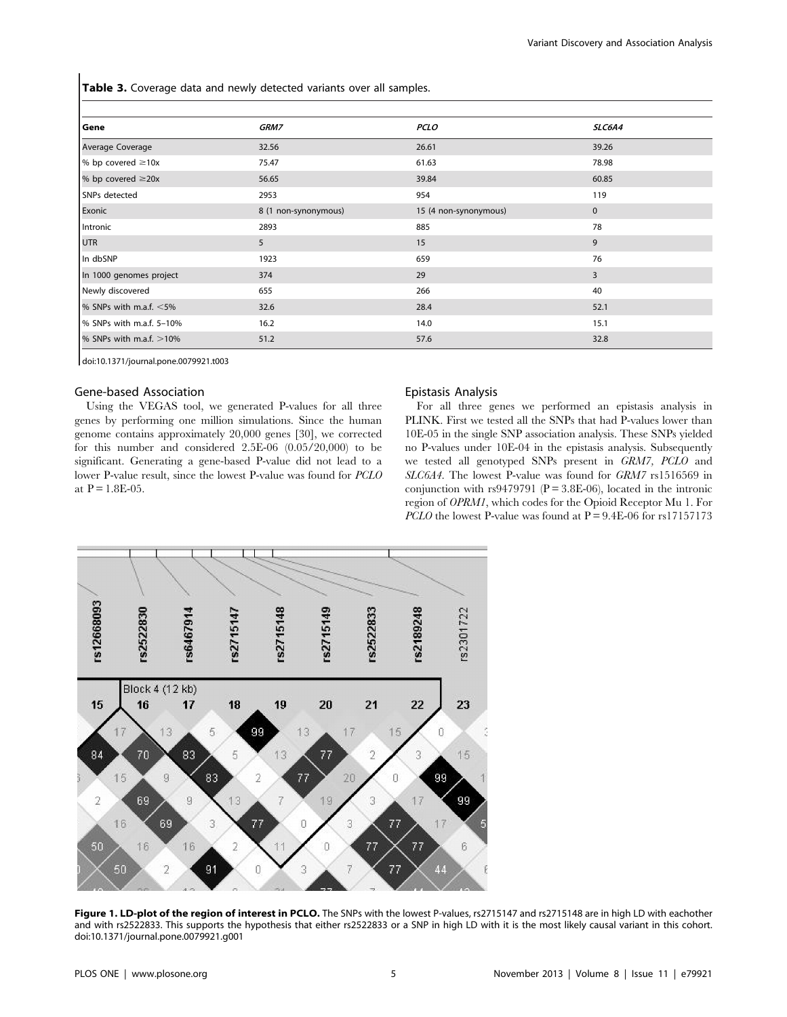Table 3. Coverage data and newly detected variants over all samples.

| Gene                      | GRM7                 | <b>PCLO</b>           | SLC6A4         |
|---------------------------|----------------------|-----------------------|----------------|
| Average Coverage          | 32.56                | 26.61                 | 39.26          |
| % bp covered $\geq 10x$   | 75.47                | 61.63                 | 78.98          |
| % bp covered $\geq$ 20x   | 56.65                | 39.84                 | 60.85          |
| SNPs detected             | 2953                 | 954                   | 119            |
| Exonic                    | 8 (1 non-synonymous) | 15 (4 non-synonymous) | $\mathbf{0}$   |
| Intronic                  | 2893                 | 885                   | 78             |
| <b>UTR</b>                | 5                    | 15                    | 9              |
| In dbSNP                  | 1923                 | 659                   | 76             |
| In 1000 genomes project   | 374                  | 29                    | $\overline{3}$ |
| Newly discovered          | 655                  | 266                   | 40             |
| % SNPs with m.a.f. $<$ 5% | 32.6                 | 28.4                  | 52.1           |
| % SNPs with m.a.f. 5-10%  | 16.2                 | 14.0                  | 15.1           |
| % SNPs with m.a.f. >10%   | 51.2                 | 57.6                  | 32.8           |

doi:10.1371/journal.pone.0079921.t003

## Gene-based Association

Using the VEGAS tool, we generated P-values for all three genes by performing one million simulations. Since the human genome contains approximately 20,000 genes [30], we corrected for this number and considered 2.5E-06 (0.05/20,000) to be significant. Generating a gene-based P-value did not lead to a lower P-value result, since the lowest P-value was found for PCLO at  $P = 1.8E - 0.5$ .

## Epistasis Analysis

For all three genes we performed an epistasis analysis in PLINK. First we tested all the SNPs that had P-values lower than 10E-05 in the single SNP association analysis. These SNPs yielded no P-values under 10E-04 in the epistasis analysis. Subsequently we tested all genotyped SNPs present in GRM7, PCLO and SLC6A4. The lowest P-value was found for GRM7 rs1516569 in conjunction with rs9479791 ( $P = 3.8E-06$ ), located in the intronic region of OPRM1, which codes for the Opioid Receptor Mu 1. For *PCLO* the lowest P-value was found at  $P = 9.4E-06$  for rs17157173



Figure 1. LD-plot of the region of interest in PCLO. The SNPs with the lowest P-values, rs2715147 and rs2715148 are in high LD with eachother and with rs2522833. This supports the hypothesis that either rs2522833 or a SNP in high LD with it is the most likely causal variant in this cohort. doi:10.1371/journal.pone.0079921.g001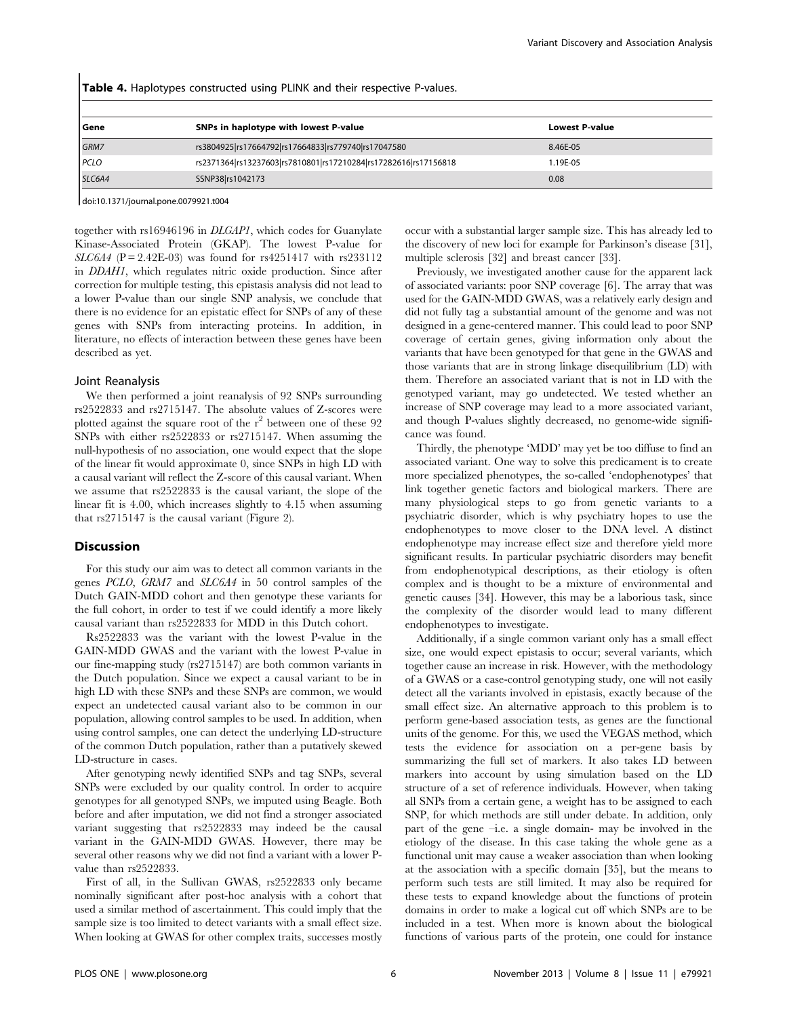Table 4. Haplotypes constructed using PLINK and their respective P-values.

| Gene        | SNPs in haplotype with lowest P-value                           | <b>Lowest P-value</b> |
|-------------|-----------------------------------------------------------------|-----------------------|
| GRM7        | rs3804925 rs17664792 rs17664833 rs779740 rs17047580             | 8.46E-05              |
| <b>PCLO</b> | rs2371364 rs13237603 rs7810801 rs17210284 rs17282616 rs17156818 | 1.19E-05              |
| SLC6A4      | SSNP38 rs1042173                                                | 0.08                  |

doi:10.1371/journal.pone.0079921.t004

together with rs16946196 in DLGAP1, which codes for Guanylate Kinase-Associated Protein (GKAP). The lowest P-value for  $SLC6A4$  (P = 2.42E-03) was found for rs4251417 with rs233112 in DDAH1, which regulates nitric oxide production. Since after correction for multiple testing, this epistasis analysis did not lead to a lower P-value than our single SNP analysis, we conclude that there is no evidence for an epistatic effect for SNPs of any of these genes with SNPs from interacting proteins. In addition, in literature, no effects of interaction between these genes have been described as yet.

#### Joint Reanalysis

We then performed a joint reanalysis of 92 SNPs surrounding rs2522833 and rs2715147. The absolute values of Z-scores were plotted against the square root of the  $r^2$  between one of these 92 SNPs with either rs2522833 or rs2715147. When assuming the null-hypothesis of no association, one would expect that the slope of the linear fit would approximate 0, since SNPs in high LD with a causal variant will reflect the Z-score of this causal variant. When we assume that rs2522833 is the causal variant, the slope of the linear fit is 4.00, which increases slightly to 4.15 when assuming that rs2715147 is the causal variant (Figure 2).

#### Discussion

For this study our aim was to detect all common variants in the genes PCLO, GRM7 and SLC6A4 in 50 control samples of the Dutch GAIN-MDD cohort and then genotype these variants for the full cohort, in order to test if we could identify a more likely causal variant than rs2522833 for MDD in this Dutch cohort.

Rs2522833 was the variant with the lowest P-value in the GAIN-MDD GWAS and the variant with the lowest P-value in our fine-mapping study (rs2715147) are both common variants in the Dutch population. Since we expect a causal variant to be in high LD with these SNPs and these SNPs are common, we would expect an undetected causal variant also to be common in our population, allowing control samples to be used. In addition, when using control samples, one can detect the underlying LD-structure of the common Dutch population, rather than a putatively skewed LD-structure in cases.

After genotyping newly identified SNPs and tag SNPs, several SNPs were excluded by our quality control. In order to acquire genotypes for all genotyped SNPs, we imputed using Beagle. Both before and after imputation, we did not find a stronger associated variant suggesting that rs2522833 may indeed be the causal variant in the GAIN-MDD GWAS. However, there may be several other reasons why we did not find a variant with a lower Pvalue than rs2522833.

First of all, in the Sullivan GWAS, rs2522833 only became nominally significant after post-hoc analysis with a cohort that used a similar method of ascertainment. This could imply that the sample size is too limited to detect variants with a small effect size. When looking at GWAS for other complex traits, successes mostly occur with a substantial larger sample size. This has already led to the discovery of new loci for example for Parkinson's disease [31], multiple sclerosis [32] and breast cancer [33].

Previously, we investigated another cause for the apparent lack of associated variants: poor SNP coverage [6]. The array that was used for the GAIN-MDD GWAS, was a relatively early design and did not fully tag a substantial amount of the genome and was not designed in a gene-centered manner. This could lead to poor SNP coverage of certain genes, giving information only about the variants that have been genotyped for that gene in the GWAS and those variants that are in strong linkage disequilibrium (LD) with them. Therefore an associated variant that is not in LD with the genotyped variant, may go undetected. We tested whether an increase of SNP coverage may lead to a more associated variant, and though P-values slightly decreased, no genome-wide significance was found.

Thirdly, the phenotype 'MDD' may yet be too diffuse to find an associated variant. One way to solve this predicament is to create more specialized phenotypes, the so-called 'endophenotypes' that link together genetic factors and biological markers. There are many physiological steps to go from genetic variants to a psychiatric disorder, which is why psychiatry hopes to use the endophenotypes to move closer to the DNA level. A distinct endophenotype may increase effect size and therefore yield more significant results. In particular psychiatric disorders may benefit from endophenotypical descriptions, as their etiology is often complex and is thought to be a mixture of environmental and genetic causes [34]. However, this may be a laborious task, since the complexity of the disorder would lead to many different endophenotypes to investigate.

Additionally, if a single common variant only has a small effect size, one would expect epistasis to occur; several variants, which together cause an increase in risk. However, with the methodology of a GWAS or a case-control genotyping study, one will not easily detect all the variants involved in epistasis, exactly because of the small effect size. An alternative approach to this problem is to perform gene-based association tests, as genes are the functional units of the genome. For this, we used the VEGAS method, which tests the evidence for association on a per-gene basis by summarizing the full set of markers. It also takes LD between markers into account by using simulation based on the LD structure of a set of reference individuals. However, when taking all SNPs from a certain gene, a weight has to be assigned to each SNP, for which methods are still under debate. In addition, only part of the gene –i.e. a single domain- may be involved in the etiology of the disease. In this case taking the whole gene as a functional unit may cause a weaker association than when looking at the association with a specific domain [35], but the means to perform such tests are still limited. It may also be required for these tests to expand knowledge about the functions of protein domains in order to make a logical cut off which SNPs are to be included in a test. When more is known about the biological functions of various parts of the protein, one could for instance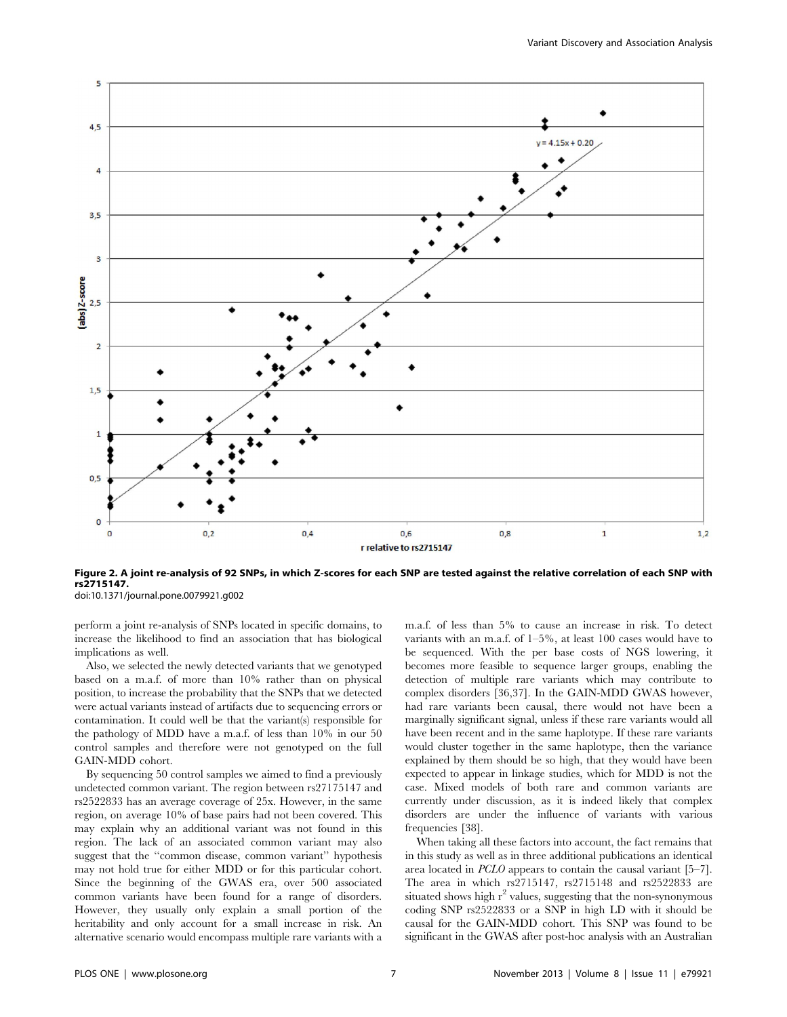

Figure 2. A joint re-analysis of 92 SNPs, in which Z-scores for each SNP are tested against the relative correlation of each SNP with rs2715147. doi:10.1371/journal.pone.0079921.g002

perform a joint re-analysis of SNPs located in specific domains, to increase the likelihood to find an association that has biological implications as well.

Also, we selected the newly detected variants that we genotyped based on a m.a.f. of more than 10% rather than on physical position, to increase the probability that the SNPs that we detected were actual variants instead of artifacts due to sequencing errors or contamination. It could well be that the variant(s) responsible for the pathology of MDD have a m.a.f. of less than 10% in our 50 control samples and therefore were not genotyped on the full GAIN-MDD cohort.

By sequencing 50 control samples we aimed to find a previously undetected common variant. The region between rs27175147 and rs2522833 has an average coverage of 25x. However, in the same region, on average 10% of base pairs had not been covered. This may explain why an additional variant was not found in this region. The lack of an associated common variant may also suggest that the ''common disease, common variant'' hypothesis may not hold true for either MDD or for this particular cohort. Since the beginning of the GWAS era, over 500 associated common variants have been found for a range of disorders. However, they usually only explain a small portion of the heritability and only account for a small increase in risk. An alternative scenario would encompass multiple rare variants with a m.a.f. of less than 5% to cause an increase in risk. To detect variants with an m.a.f. of 1–5%, at least 100 cases would have to be sequenced. With the per base costs of NGS lowering, it becomes more feasible to sequence larger groups, enabling the detection of multiple rare variants which may contribute to complex disorders [36,37]. In the GAIN-MDD GWAS however, had rare variants been causal, there would not have been a marginally significant signal, unless if these rare variants would all have been recent and in the same haplotype. If these rare variants would cluster together in the same haplotype, then the variance explained by them should be so high, that they would have been expected to appear in linkage studies, which for MDD is not the case. Mixed models of both rare and common variants are currently under discussion, as it is indeed likely that complex disorders are under the influence of variants with various frequencies [38].

When taking all these factors into account, the fact remains that in this study as well as in three additional publications an identical area located in PCLO appears to contain the causal variant [5–7]. The area in which rs2715147, rs2715148 and rs2522833 are situated shows high  $r^2$  values, suggesting that the non-synonymous coding SNP rs2522833 or a SNP in high LD with it should be causal for the GAIN-MDD cohort. This SNP was found to be significant in the GWAS after post-hoc analysis with an Australian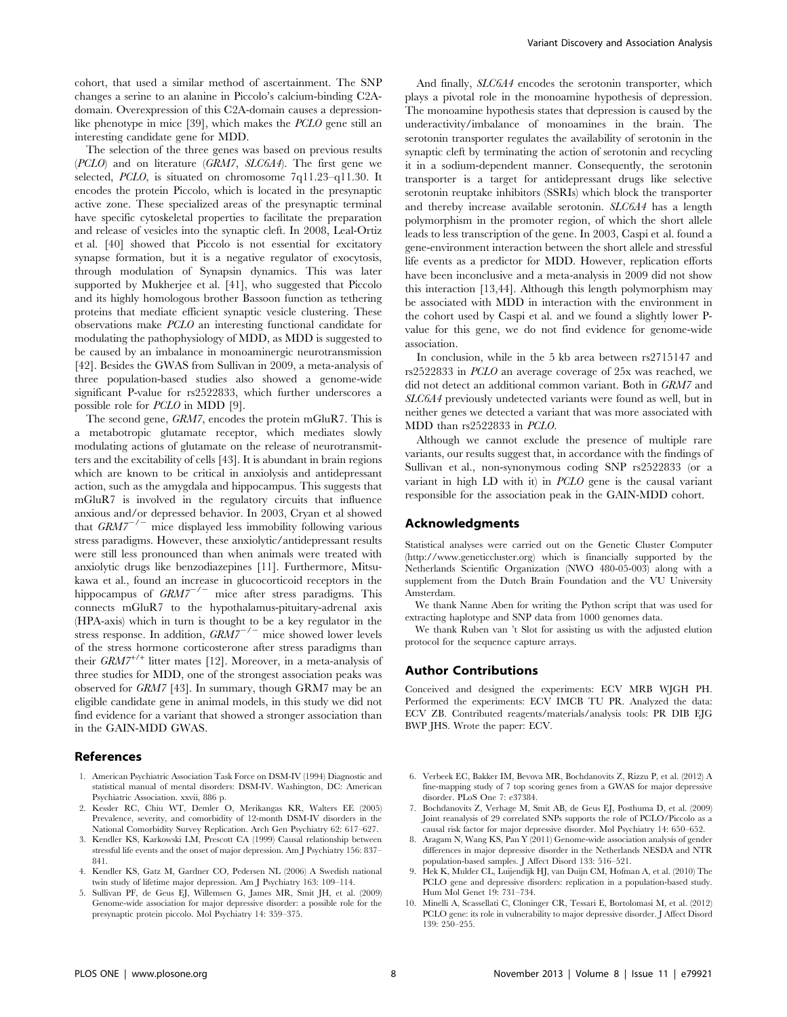cohort, that used a similar method of ascertainment. The SNP changes a serine to an alanine in Piccolo's calcium-binding C2Adomain. Overexpression of this C2A-domain causes a depressionlike phenotype in mice [39], which makes the PCLO gene still an interesting candidate gene for MDD.

The selection of the three genes was based on previous results  $(PCLO)$  and on literature  $(GRM7, SLC6A4)$ . The first gene we selected, PCLO, is situated on chromosome 7q11.23–q11.30. It encodes the protein Piccolo, which is located in the presynaptic active zone. These specialized areas of the presynaptic terminal have specific cytoskeletal properties to facilitate the preparation and release of vesicles into the synaptic cleft. In 2008, Leal-Ortiz et al. [40] showed that Piccolo is not essential for excitatory synapse formation, but it is a negative regulator of exocytosis, through modulation of Synapsin dynamics. This was later supported by Mukherjee et al. [41], who suggested that Piccolo and its highly homologous brother Bassoon function as tethering proteins that mediate efficient synaptic vesicle clustering. These observations make PCLO an interesting functional candidate for modulating the pathophysiology of MDD, as MDD is suggested to be caused by an imbalance in monoaminergic neurotransmission [42]. Besides the GWAS from Sullivan in 2009, a meta-analysis of three population-based studies also showed a genome-wide significant P-value for rs2522833, which further underscores a possible role for PCLO in MDD [9].

The second gene, GRM7, encodes the protein mGluR7. This is a metabotropic glutamate receptor, which mediates slowly modulating actions of glutamate on the release of neurotransmitters and the excitability of cells [43]. It is abundant in brain regions which are known to be critical in anxiolysis and antidepressant action, such as the amygdala and hippocampus. This suggests that mGluR7 is involved in the regulatory circuits that influence anxious and/or depressed behavior. In 2003, Cryan et al showed that  $GRM7^{-/-}$  mice displayed less immobility following various stress paradigms. However, these anxiolytic/antidepressant results were still less pronounced than when animals were treated with anxiolytic drugs like benzodiazepines [11]. Furthermore, Mitsukawa et al., found an increase in glucocorticoid receptors in the hippocampus of  $GRM7^{-/-}$  mice after stress paradigms. This connects mGluR7 to the hypothalamus-pituitary-adrenal axis (HPA-axis) which in turn is thought to be a key regulator in the stress response. In addition,  $GRM7^{-/-}$  mice showed lower levels of the stress hormone corticosterone after stress paradigms than their  $GRM7^{+/+}$  litter mates [12]. Moreover, in a meta-analysis of three studies for MDD, one of the strongest association peaks was observed for GRM7 [43]. In summary, though GRM7 may be an eligible candidate gene in animal models, in this study we did not find evidence for a variant that showed a stronger association than in the GAIN-MDD GWAS.

## References

- 1. American Psychiatric Association Task Force on DSM-IV (1994) Diagnostic and statistical manual of mental disorders: DSM-IV. Washington, DC: American Psychiatric Association. xxvii, 886 p.
- 2. Kessler RC, Chiu WT, Demler O, Merikangas KR, Walters EE (2005) Prevalence, severity, and comorbidity of 12-month DSM-IV disorders in the National Comorbidity Survey Replication. Arch Gen Psychiatry 62: 617–627.
- 3. Kendler KS, Karkowski LM, Prescott CA (1999) Causal relationship between stressful life events and the onset of major depression. Am J Psychiatry 156: 837– 841.
- 4. Kendler KS, Gatz M, Gardner CO, Pedersen NL (2006) A Swedish national twin study of lifetime major depression. Am J Psychiatry 163: 109–114.
- 5. Sullivan PF, de Geus EJ, Willemsen G, James MR, Smit JH, et al. (2009) Genome-wide association for major depressive disorder: a possible role for the presynaptic protein piccolo. Mol Psychiatry 14: 359–375.

And finally, SLC6A4 encodes the serotonin transporter, which plays a pivotal role in the monoamine hypothesis of depression. The monoamine hypothesis states that depression is caused by the underactivity/imbalance of monoamines in the brain. The serotonin transporter regulates the availability of serotonin in the synaptic cleft by terminating the action of serotonin and recycling it in a sodium-dependent manner. Consequently, the serotonin transporter is a target for antidepressant drugs like selective serotonin reuptake inhibitors (SSRIs) which block the transporter and thereby increase available serotonin. SLC6A4 has a length polymorphism in the promoter region, of which the short allele leads to less transcription of the gene. In 2003, Caspi et al. found a gene-environment interaction between the short allele and stressful life events as a predictor for MDD. However, replication efforts have been inconclusive and a meta-analysis in 2009 did not show this interaction [13,44]. Although this length polymorphism may be associated with MDD in interaction with the environment in the cohort used by Caspi et al. and we found a slightly lower Pvalue for this gene, we do not find evidence for genome-wide association.

In conclusion, while in the 5 kb area between rs2715147 and rs2522833 in PCLO an average coverage of 25x was reached, we did not detect an additional common variant. Both in GRM7 and SLC6A4 previously undetected variants were found as well, but in neither genes we detected a variant that was more associated with MDD than rs2522833 in PCLO.

Although we cannot exclude the presence of multiple rare variants, our results suggest that, in accordance with the findings of Sullivan et al., non-synonymous coding SNP rs2522833 (or a variant in high LD with it) in PCLO gene is the causal variant responsible for the association peak in the GAIN-MDD cohort.

## Acknowledgments

Statistical analyses were carried out on the Genetic Cluster Computer (http://www.geneticcluster.org) which is financially supported by the Netherlands Scientific Organization (NWO 480-05-003) along with a supplement from the Dutch Brain Foundation and the VU University Amsterdam.

We thank Nanne Aben for writing the Python script that was used for extracting haplotype and SNP data from 1000 genomes data.

We thank Ruben van 't Slot for assisting us with the adjusted elution protocol for the sequence capture arrays.

### Author Contributions

Conceived and designed the experiments: ECV MRB WJGH PH. Performed the experiments: ECV IMCB TU PR. Analyzed the data: ECV ZB. Contributed reagents/materials/analysis tools: PR DIB EJG BWP JHS. Wrote the paper: ECV.

- 6. Verbeek EC, Bakker IM, Bevova MR, Bochdanovits Z, Rizzu P, et al. (2012) A fine-mapping study of 7 top scoring genes from a GWAS for major depressive disorder. PLoS One 7: e37384.
- 7. Bochdanovits Z, Verhage M, Smit AB, de Geus EJ, Posthuma D, et al. (2009) Joint reanalysis of 29 correlated SNPs supports the role of PCLO/Piccolo as a causal risk factor for major depressive disorder. Mol Psychiatry 14: 650–652.
- 8. Aragam N, Wang KS, Pan Y (2011) Genome-wide association analysis of gender differences in major depressive disorder in the Netherlands NESDA and NTR population-based samples. J Affect Disord 133: 516–521.
- 9. Hek K, Mulder CL, Luijendijk HJ, van Duijn CM, Hofman A, et al. (2010) The PCLO gene and depressive disorders: replication in a population-based study. Hum Mol Genet 19: 731–734.
- 10. Minelli A, Scassellati C, Cloninger CR, Tessari E, Bortolomasi M, et al. (2012) PCLO gene: its role in vulnerability to major depressive disorder. J Affect Disord 139: 250–255.